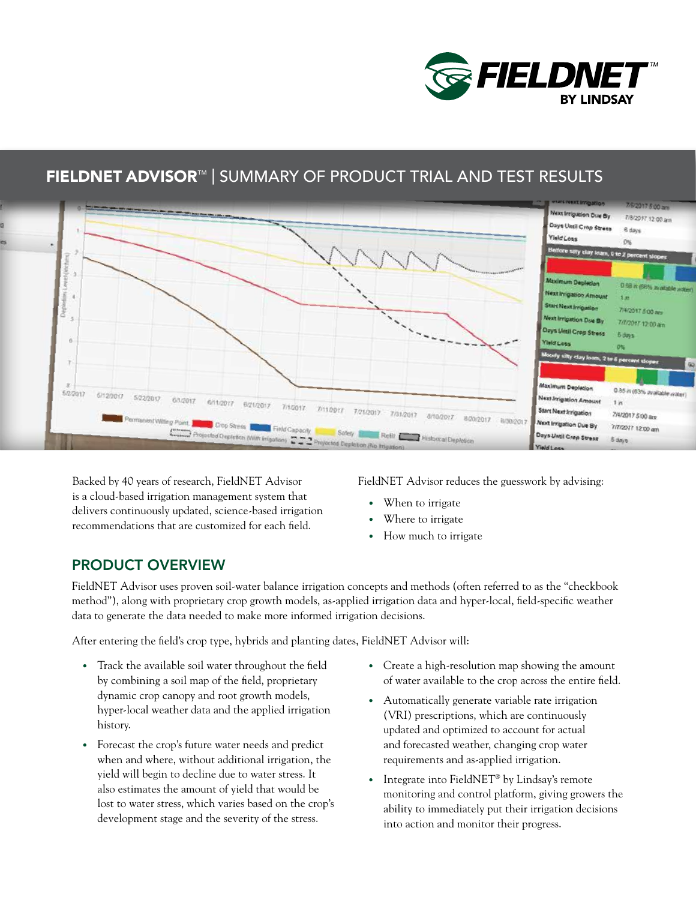

# FIELDNET ADVISOR™ | SUMMARY OF PRODUCT TRIAL AND TEST RESULTS



Backed by 40 years of research, FieldNET Advisor is a cloud-based irrigation management system that delivers continuously updated, science-based irrigation recommendations that are customized for each field.

FieldNET Advisor reduces the guesswork by advising:

- When to irrigate
- Where to irrigate
- How much to irrigate

### PRODUCT OVERVIEW

FieldNET Advisor uses proven soil-water balance irrigation concepts and methods (often referred to as the "checkbook method"), along with proprietary crop growth models, as-applied irrigation data and hyper-local, field-specific weather data to generate the data needed to make more informed irrigation decisions.

After entering the field's crop type, hybrids and planting dates, FieldNET Advisor will:

- Track the available soil water throughout the field by combining a soil map of the field, proprietary dynamic crop canopy and root growth models, hyper-local weather data and the applied irrigation history.
- Forecast the crop's future water needs and predict when and where, without additional irrigation, the yield will begin to decline due to water stress. It also estimates the amount of yield that would be lost to water stress, which varies based on the crop's development stage and the severity of the stress.
- Create a high-resolution map showing the amount of water available to the crop across the entire field.
- Automatically generate variable rate irrigation (VRI) prescriptions, which are continuously updated and optimized to account for actual and forecasted weather, changing crop water requirements and as-applied irrigation.
- Integrate into FieldNET<sup>®</sup> by Lindsay's remote monitoring and control platform, giving growers the ability to immediately put their irrigation decisions into action and monitor their progress.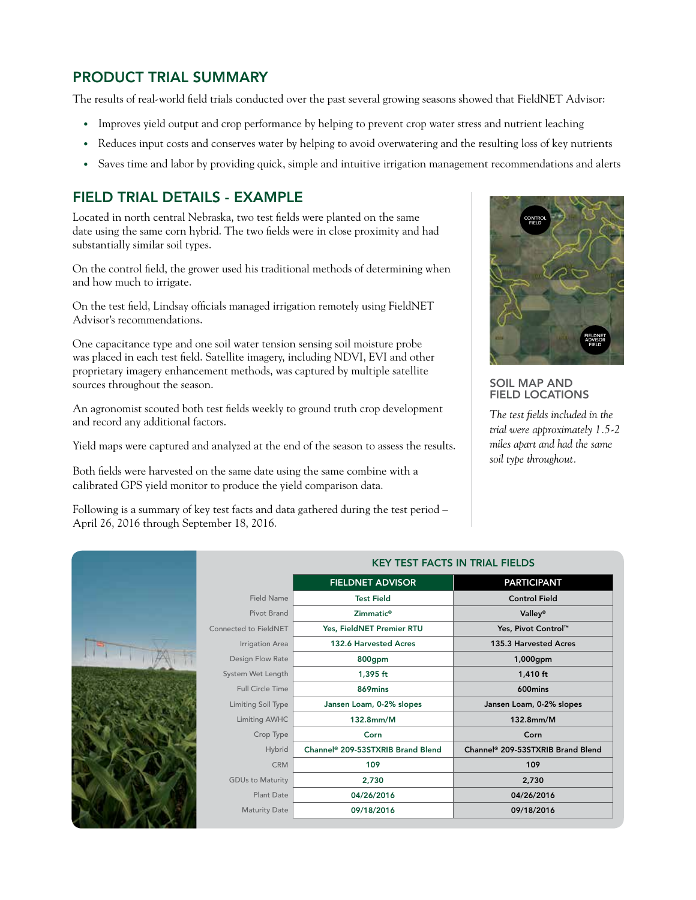# PRODUCT TRIAL SUMMARY

The results of real-world field trials conducted over the past several growing seasons showed that FieldNET Advisor:

- Improves yield output and crop performance by helping to prevent crop water stress and nutrient leaching
- Reduces input costs and conserves water by helping to avoid overwatering and the resulting loss of key nutrients
- Saves time and labor by providing quick, simple and intuitive irrigation management recommendations and alerts

## FIELD TRIAL DETAILS - EXAMPLE

Located in north central Nebraska, two test fields were planted on the same date using the same corn hybrid. The two fields were in close proximity and had substantially similar soil types.

On the control field, the grower used his traditional methods of determining when and how much to irrigate.

On the test field, Lindsay officials managed irrigation remotely using FieldNET Advisor's recommendations.

One capacitance type and one soil water tension sensing soil moisture probe was placed in each test field. Satellite imagery, including NDVI, EVI and other proprietary imagery enhancement methods, was captured by multiple satellite sources throughout the season.

An agronomist scouted both test fields weekly to ground truth crop development and record any additional factors.

Yield maps were captured and analyzed at the end of the season to assess the results.

Both fields were harvested on the same date using the same combine with a calibrated GPS yield monitor to produce the yield comparison data.

Following is a summary of key test facts and data gathered during the test period – April 26, 2016 through September 18, 2016.



### SOIL MAP AND FIELD LOCATIONS

*The test fields included in the trial were approximately 1.5-2 miles apart and had the same soil type throughout.*

| <b>KEY TEST FACTS IN TRIAL FIELDS</b> |                                               |                                               |
|---------------------------------------|-----------------------------------------------|-----------------------------------------------|
|                                       | <b>FIELDNET ADVISOR</b>                       | <b>PARTICIPANT</b>                            |
| <b>Field Name</b>                     | <b>Test Field</b>                             | <b>Control Field</b>                          |
| <b>Pivot Brand</b>                    | Zimmatic <sup>®</sup>                         | <b>Valley®</b>                                |
| Connected to FieldNET                 | Yes, FieldNET Premier RTU                     | Yes, Pivot Control™                           |
| Irrigation Area                       | 132.6 Harvested Acres                         | 135.3 Harvested Acres                         |
| Design Flow Rate                      | 800gpm                                        | 1,000gpm                                      |
| System Wet Length                     | $1,395$ ft                                    | $1,410$ ft                                    |
| <b>Full Circle Time</b>               | 869mins                                       | 600mins                                       |
| Limiting Soil Type                    | Jansen Loam, 0-2% slopes                      | Jansen Loam, 0-2% slopes                      |
| Limiting AWHC                         | 132.8mm/M                                     | 132.8mm/M                                     |
| Crop Type                             | Corn                                          | Corn                                          |
| Hybrid                                | Channel <sup>®</sup> 209-53STXRIB Brand Blend | Channel <sup>®</sup> 209-53STXRIB Brand Blend |
| <b>CRM</b>                            | 109                                           | 109                                           |
| <b>GDUs to Maturity</b>               | 2,730                                         | 2,730                                         |
| Plant Date                            | 04/26/2016                                    | 04/26/2016                                    |
| <b>Maturity Date</b>                  | 09/18/2016                                    | 09/18/2016                                    |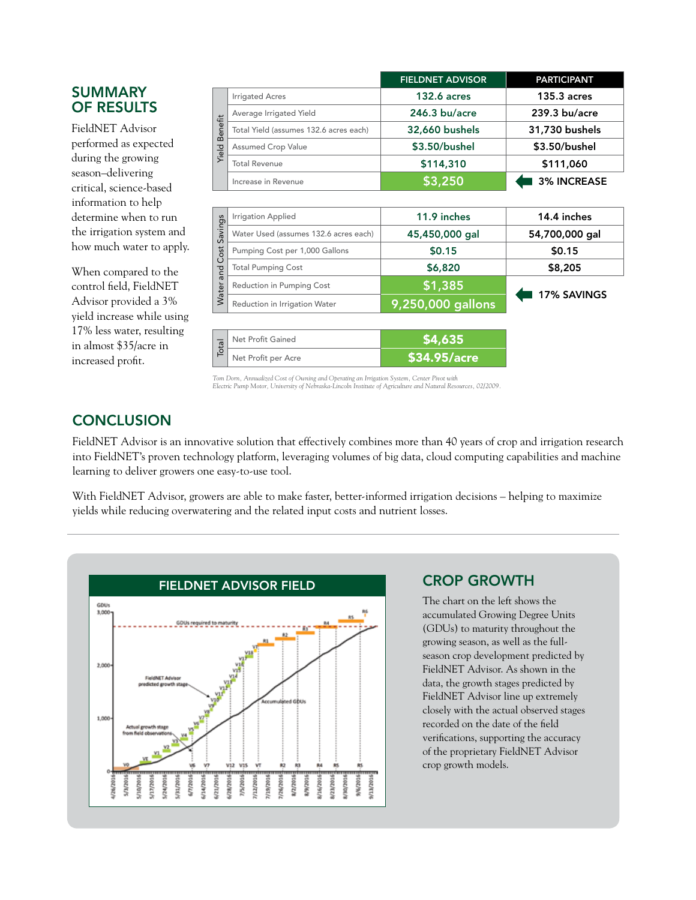### SUMMARY OF RESULTS

FieldNET Advisor performed as expected during the growing season–delivering critical, science-based information to help determine when to run the irrigation system and how much water to apply.

When compared to the control field, FieldNET Advisor provided a 3% yield increase while using 17% less water, resulting in almost \$35/acre in increased profit.

|                  |                                        | <b>FIELDNET ADVISOR</b> | <b>PARTICIPANT</b> |
|------------------|----------------------------------------|-------------------------|--------------------|
| Benefit<br>Yield | <b>Irrigated Acres</b>                 | <b>132.6 acres</b>      | $135.3$ acres      |
|                  | Average Irrigated Yield                | $246.3$ bu/acre         | $239.3$ bu/acre    |
|                  | Total Yield (assumes 132.6 acres each) | 32,660 bushels          | 31,730 bushels     |
|                  | <b>Assumed Crop Value</b>              | \$3.50/bushel           | \$3.50/bushel      |
|                  | <b>Total Revenue</b>                   | \$114,310               | \$111,060          |
|                  | Increase in Revenue                    | \$3,250                 | <b>3% INCREASE</b> |

| ngs<br>iive<br>$\sigma$<br>ost<br>ᅙ<br>Water | <b>Irrigation Applied</b>             | 11.9 inches       | 14.4 inches    |  |
|----------------------------------------------|---------------------------------------|-------------------|----------------|--|
|                                              | Water Used (assumes 132.6 acres each) | 45,450,000 gal    | 54,700,000 gal |  |
|                                              | Pumping Cost per 1,000 Gallons        | \$0.15            | \$0.15         |  |
|                                              | <b>Total Pumping Cost</b>             | \$6,820           | \$8,205        |  |
|                                              | Reduction in Pumping Cost             | \$1,385           | 17% SAVINGS    |  |
|                                              | Reduction in Irrigation Water         | 9,250,000 gallons |                |  |

| $\overline{p}$ | Net Profit Gained   | <b>S4.635</b>                |  |
|----------------|---------------------|------------------------------|--|
|                | Net Profit per Acre | $\sqrt{534.95/ \text{acre}}$ |  |

*Tom Dorn, Annualized Cost of Owning and Operating an Irrigation System, Center Pivot with Electric Pump Motor, University of Nebraska-Lincoln Institute of Agriculture and Natural Resources, 02/2009.*

# **CONCLUSION**

FieldNET Advisor is an innovative solution that effectively combines more than 40 years of crop and irrigation research into FieldNET's proven technology platform, leveraging volumes of big data, cloud computing capabilities and machine learning to deliver growers one easy-to-use tool.

With FieldNET Advisor, growers are able to make faster, better-informed irrigation decisions – helping to maximize yields while reducing overwatering and the related input costs and nutrient losses.



### CROP GROWTH

The chart on the left shows the accumulated Growing Degree Units (GDUs) to maturity throughout the growing season, as well as the fullseason crop development predicted by FieldNET Advisor. As shown in the data, the growth stages predicted by FieldNET Advisor line up extremely closely with the actual observed stages recorded on the date of the field verifications, supporting the accuracy of the proprietary FieldNET Advisor crop growth models.